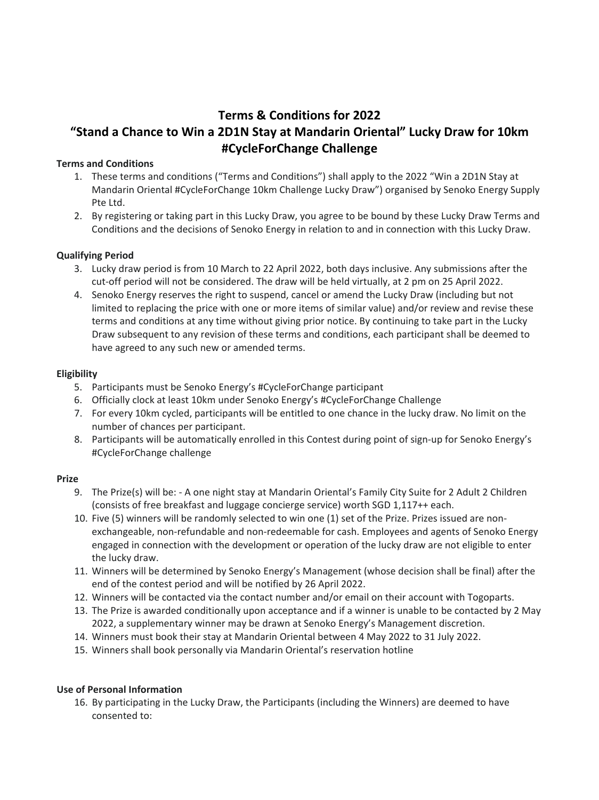# **Terms & Conditions for 2022 "Stand a Chance to Win a 2D1N Stay at Mandarin Oriental" Lucky Draw for 10km #CycleForChange Challenge**

#### **Terms and Conditions**

- 1. These terms and conditions ("Terms and Conditions") shall apply to the 2022 "Win a 2D1N Stay at Mandarin Oriental #CycleForChange 10km Challenge Lucky Draw") organised by Senoko Energy Supply Pte Ltd.
- 2. By registering or taking part in this Lucky Draw, you agree to be bound by these Lucky Draw Terms and Conditions and the decisions of Senoko Energy in relation to and in connection with this Lucky Draw.

#### **Qualifying Period**

- 3. Lucky draw period is from 10 March to 22 April 2022, both days inclusive. Any submissions after the cut-off period will not be considered. The draw will be held virtually, at 2 pm on 25 April 2022.
- 4. Senoko Energy reserves the right to suspend, cancel or amend the Lucky Draw (including but not limited to replacing the price with one or more items of similar value) and/or review and revise these terms and conditions at any time without giving prior notice. By continuing to take part in the Lucky Draw subsequent to any revision of these terms and conditions, each participant shall be deemed to have agreed to any such new or amended terms.

#### **Eligibility**

- 5. Participants must be Senoko Energy's #CycleForChange participant
- 6. Officially clock at least 10km under Senoko Energy's #CycleForChange Challenge
- 7. For every 10km cycled, participants will be entitled to one chance in the lucky draw. No limit on the number of chances per participant.
- 8. Participants will be automatically enrolled in this Contest during point of sign-up for Senoko Energy's #CycleForChange challenge

## **Prize**

- 9. The Prize(s) will be: A one night stay at Mandarin Oriental's Family City Suite for 2 Adult 2 Children (consists of free breakfast and luggage concierge service) worth SGD 1,117++ each.
- 10. Five (5) winners will be randomly selected to win one (1) set of the Prize. Prizes issued are nonexchangeable, non-refundable and non-redeemable for cash. Employees and agents of Senoko Energy engaged in connection with the development or operation of the lucky draw are not eligible to enter the lucky draw.
- 11. Winners will be determined by Senoko Energy's Management (whose decision shall be final) after the end of the contest period and will be notified by 26 April 2022.
- 12. Winners will be contacted via the contact number and/or email on their account with Togoparts.
- 13. The Prize is awarded conditionally upon acceptance and if a winner is unable to be contacted by 2 May 2022, a supplementary winner may be drawn at Senoko Energy's Management discretion.
- 14. Winners must book their stay at Mandarin Oriental between 4 May 2022 to 31 July 2022.
- 15. Winners shall book personally via Mandarin Oriental's reservation hotline

### **Use of Personal Information**

16. By participating in the Lucky Draw, the Participants (including the Winners) are deemed to have consented to: